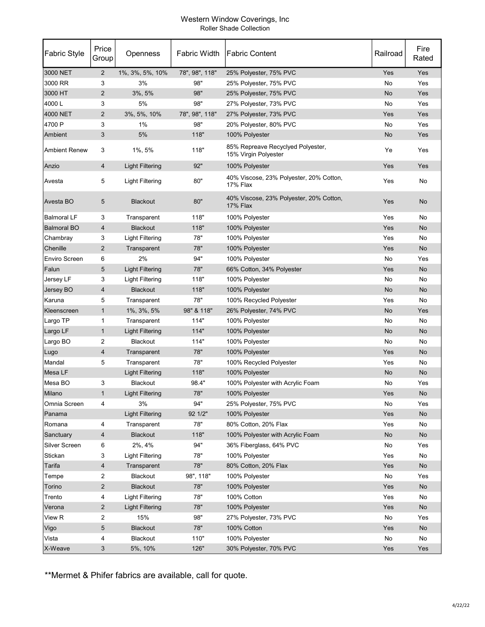#### Western Window Coverings, Inc Roller Shade Collection

| <b>Fabric Style</b>  | Price<br>Group | Openness               | <b>Fabric Width</b> | <b>Fabric Content</b>                                      | Railroad | Fire<br>Rated |
|----------------------|----------------|------------------------|---------------------|------------------------------------------------------------|----------|---------------|
| 3000 NET             | $\overline{2}$ | 1%, 3%, 5%, 10%        | 78", 98", 118"      | 25% Polyester, 75% PVC                                     | Yes      | Yes           |
| 3000 RR              | 3              | 3%                     | 98"                 | 25% Polyester, 75% PVC                                     | No       | Yes           |
| 3000 HT              | $\overline{2}$ | $3\%$ , $5\%$          | 98"                 | 25% Polyester, 75% PVC                                     | No       | Yes           |
| 4000L                | 3              | 5%                     | 98"                 | 27% Polyester, 73% PVC                                     | No       | Yes           |
| 4000 NET             | $\overline{2}$ | 3%, 5%, 10%            | 78", 98", 118"      | 27% Polyester, 73% PVC                                     | Yes      | Yes           |
| 4700 P               | 3              | 1%                     | 98"                 | 20% Polyester, 80% PVC                                     | No       | Yes           |
| Ambient              | 3              | 5%                     | 118"                | 100% Polyester                                             | No       | Yes           |
| <b>Ambient Renew</b> | 3              | $1\%$ , 5%             | 118"                | 85% Repreave Recyclyed Polyester,<br>15% Virgin Polyester  | Ye       | Yes           |
| Anzio                | 4              | <b>Light Filtering</b> | 92"                 | 100% Polyester                                             | Yes      | Yes           |
| Avesta               | 5              | Light Filtering        | 80"                 | 40% Viscose, 23% Polyester, 20% Cotton,<br>17% Flax        | Yes      | No            |
| Avesta BO            | 5              | <b>Blackout</b>        | 80"                 | 40% Viscose, 23% Polyester, 20% Cotton,<br><b>17% Flax</b> | Yes      | No            |
| <b>Balmoral LF</b>   | 3              | Transparent            | 118"                | 100% Polyester                                             | Yes      | No            |
| <b>Balmoral BO</b>   | 4              | <b>Blackout</b>        | 118"                | 100% Polyester                                             | Yes      | No            |
| Chambray             | 3              | <b>Light Filtering</b> | 78"                 | 100% Polyester                                             | Yes      | No            |
| Chenille             | $\overline{2}$ | Transparent            | 78"                 | 100% Polyester                                             | Yes      | No            |
| <b>Enviro Screen</b> | 6              | 2%                     | 94"                 | 100% Polyester                                             | No       | Yes           |
| Falun                | 5              | <b>Light Filtering</b> | 78"                 | 66% Cotton, 34% Polyester                                  | Yes      | No            |
| Jersey LF            | 3              | <b>Light Filtering</b> | 118"                | 100% Polyester                                             | No       | No            |
| Jersey BO            | 4              | <b>Blackout</b>        | 118"                | 100% Polyester                                             | No       | No            |
| Karuna               | 5              | Transparent            | 78"                 | 100% Recycled Polyester                                    | Yes      | No            |
| Kleenscreen          | $\mathbf{1}$   | 1%, 3%, 5%             | 98" & 118"          | 26% Polyester, 74% PVC                                     | No       | Yes           |
| Largo TP             | 1              | Transparent            | 114"                | 100% Polyester                                             | No       | No            |
| Largo LF             | $\mathbf{1}$   | <b>Light Filtering</b> | 114"                | 100% Polyester                                             | No       | No            |
| Largo BO             | 2              | Blackout               | 114"                | 100% Polyester                                             | No       | No            |
| Lugo                 | 4              | Transparent            | 78"                 | 100% Polyester                                             | Yes      | No            |
| Mandal               | 5              | Transparent            | 78"                 | 100% Recycled Polyester                                    | Yes      | No            |
| Mesa LF              |                | <b>Light Filtering</b> | 118"                | 100% Polyester                                             | No       | No            |
| Mesa BO              | 3              | Blackout               | 98.4"               | 100% Polyester with Acrylic Foam                           | No       | Yes           |
| Milano               | 1              | <b>Light Filtering</b> | 78"                 | 100% Polyester                                             | Yes      | No.           |
| Omnia Screen         | 4              | 3%                     | 94"                 | 25% Polyester, 75% PVC                                     | No       | Yes           |
| Panama               |                | <b>Light Filtering</b> | 92 1/2"             | 100% Polyester                                             | Yes      | No            |
| Romana               | 4              | Transparent            | 78"                 | 80% Cotton, 20% Flax                                       | Yes      | No            |
| Sanctuary            | $\overline{4}$ | Blackout               | 118"                | 100% Polyester with Acrylic Foam                           | No       | No            |
| Silver Screen        | 6              | 2%, 4%                 | 94"                 | 36% Fiberglass, 64% PVC                                    | No       | Yes           |
| Stickan              | 3              | <b>Light Filtering</b> | 78"                 | 100% Polyester                                             | Yes      | No            |
| Tarifa               | $\overline{4}$ | Transparent            | 78"                 | 80% Cotton, 20% Flax                                       | Yes      | No            |
| Tempe                | $\overline{2}$ | Blackout               | 98", 118"           | 100% Polyester                                             | No       | Yes           |
| Torino               | $\overline{2}$ | <b>Blackout</b>        | 78"                 | 100% Polyester                                             | Yes      | No            |
| Trento               | 4              | <b>Light Filtering</b> | 78"                 | 100% Cotton                                                | Yes      | No            |
| Verona               | $\overline{2}$ | <b>Light Filtering</b> | 78"                 | 100% Polyester                                             | Yes      | No            |
| View R               | 2              | 15%                    | 98"                 | 27% Polyester, 73% PVC                                     | No       | Yes           |
| Vigo                 | 5              | <b>Blackout</b>        | 78"                 | 100% Cotton                                                | Yes      | No            |
| Vista                | 4              | Blackout               | 110"                | 100% Polyester                                             | No       | No            |
| X-Weave              | 3              | 5%, 10%                | 126"                | 30% Polyester, 70% PVC                                     | Yes      | Yes           |

\*\*Mermet & Phifer fabrics are available, call for quote.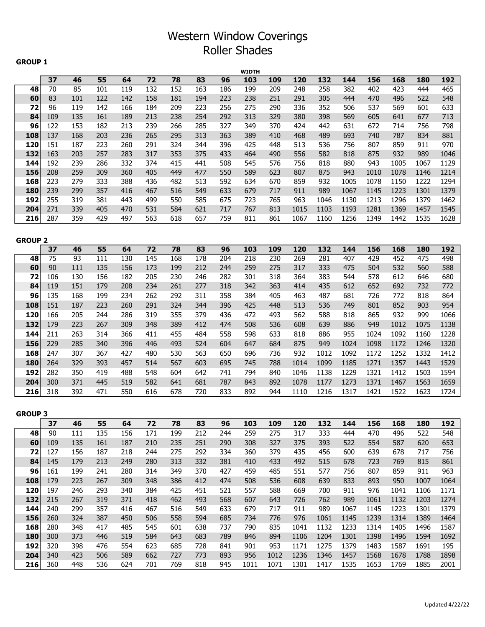## Western Window Coverings Roller Shades

#### GROUP 1

|                |     |     |     |     |                 |     |     |     | <b>WIDTH</b> |            |            |      |      |      |            |            |      |
|----------------|-----|-----|-----|-----|-----------------|-----|-----|-----|--------------|------------|------------|------|------|------|------------|------------|------|
|                | 37  | 46  | 55  | 64  | $\overline{72}$ | 78  | 83  | 96  | 103          | 109        | 120        | 132  | 144  | 156  | 168        | <b>180</b> | 192  |
| 48             | 70  | 85  | 101 | 119 | 132             | 152 | 163 | 186 | 199          | 209        | 248        | 258  | 382  | 402  | 423        | 444        | 465  |
| 60             | 83  | 101 | 122 | 142 | 158             | 181 | 194 | 223 | 238          | 251        | 291        | 305  | 444  | 470  | 496        | 522        | 548  |
| 72             | 96  | 119 | 142 | 166 | 184             | 209 | 223 | 256 | 275          | 290        | 336        | 352  | 506  | 537  | 569        | 601        | 633  |
| 84             | 109 | 135 | 161 | 189 | 213             | 238 | 254 | 292 | 313          | 329        | 380        | 398  | 569  | 605  | 641        | 677        | 713  |
| 96             | 122 | 153 | 182 | 213 | 239             | 266 | 285 | 327 | 349          | 370        | 424        | 442  | 631  | 672  | 714        | 756        | 798  |
| 108            | 137 | 168 | 203 | 236 | 265             | 295 | 313 | 363 | 389          | 410        | 468        | 489  | 693  | 740  | 787        | 834        | 881  |
| 120            | 151 | 187 | 223 | 260 | 291             | 324 | 344 | 396 | 425          | 448        | 513        | 536  | 756  | 807  | 859        | 911        | 970  |
| 132            | 163 | 203 | 257 | 283 | 317             | 353 | 375 | 433 | 464          | 490        | 556        | 582  | 818  | 875  | 932        | 989        | 1046 |
| 144            | 192 | 239 | 286 | 332 | 374             | 415 | 441 | 508 | 545          | 576        | 756        | 818  | 880  | 943  | 1005       | 1067       | 1129 |
| 156            | 208 | 259 | 309 | 360 | 405             | 449 | 477 | 550 | 589          | 623        | 807        | 875  | 943  | 1010 | 1078       | 1146       | 1214 |
| 168            | 223 | 279 | 333 | 388 | 436             | 482 | 513 | 592 | 634          | 670        | 859        | 932  | 1005 | 1078 | 1150       | 1222       | 1294 |
| 180            | 239 | 299 | 357 | 416 | 467             | 516 | 549 | 633 | 679          | 717        | 911        | 989  | 1067 | 1145 | 1223       | 1301       | 1379 |
| 192            | 255 | 319 | 381 | 443 | 499             | 550 | 585 | 675 | 723          | 765        | 963        | 1046 | 1130 | 1213 | 1296       | 1379       | 1462 |
| 204            | 271 | 339 | 405 | 470 | 531             | 584 | 621 | 717 | 767          | 813        | 1015       | 1103 | 1193 | 1281 | 1369       | 1457       | 1545 |
| 216            | 287 | 359 | 429 | 497 | 563             | 618 | 657 | 759 | 811          | 861        | 1067       | 1160 | 1256 | 1349 | 1442       | 1535       | 1628 |
|                |     |     |     |     |                 |     |     |     |              |            |            |      |      |      |            |            |      |
| <b>GROUP 2</b> |     |     |     |     |                 |     |     |     |              |            |            |      |      |      |            |            |      |
|                | 37  | 46  | 55  | 64  | $\overline{72}$ | 78  | 83  | 96  | 103          | 109        | 120        | 132  | 144  | 156  | 168        | 180        | 192  |
| 48             | 75  | 93  | 111 | 130 | 145             | 168 | 178 | 204 | 218          | 230        | 269        | 281  | 407  | 429  | 452        | 475        | 498  |
| 60             | 90  | 111 | 135 | 156 | 173             | 199 | 212 | 244 | 259          | 275        | 317        | 333  | 475  | 504  | 532        | 560        | 588  |
| 72             | 106 | 130 | 156 | 182 | 205             | 230 | 246 | 282 | 301          | 318        | 364        | 383  | 544  | 578  | 612        | 646        | 680  |
| 84             | 119 | 151 | 179 | 208 | 234             | 261 | 277 | 318 | 342          | 363        | 414        | 435  | 612  | 652  | 692        | 732        | 772  |
| 96             | 135 | 168 | 199 | 234 | 262             | 292 | 311 | 358 | 384          | 405        | 463        | 487  | 681  | 726  | 772        | 818        | 864  |
| 108            | 151 | 187 | 223 | 260 | 291             | 324 | 344 | 396 | 425          | 448        | 513        | 536  | 749  | 801  | 852        | 903        | 954  |
| 120            | 166 | 205 | 244 | 286 | 319             | 355 | 379 | 436 | 472          | 493        | 562        | 588  | 818  | 865  | 932        | 999        | 1066 |
| 132            | 179 | 223 | 267 | 309 | 348             | 389 | 412 | 474 | 508          | 536        | 608        | 639  | 886  | 949  | 1012       | 1075       | 1138 |
| 144            | 211 | 263 | 314 | 366 | 411             | 455 | 484 | 558 | 598          | 633        | 818        | 886  | 955  | 1024 | 1092       | 1160       | 1228 |
| 156            | 229 | 285 | 340 | 396 | 446             | 493 | 524 | 604 | 647          | 684        | 875        | 949  | 1024 | 1098 | 1172       | 1246       | 1320 |
| 168            | 247 | 307 | 367 | 427 | 480             | 530 | 563 | 650 | 696          | 736        | 932        | 1012 | 1092 | 1172 | 1252       | 1332       | 1412 |
| 180            | 264 | 329 | 393 | 457 | 514             | 567 | 603 | 695 | 745          | 788        | 1014       | 1099 | 1185 | 1271 | 1357       | 1443       | 1529 |
| 192            | 282 | 350 | 419 | 488 | 548             | 604 | 642 | 741 | 794          | 840        | 1046       | 1138 | 1229 | 1321 | 1412       | 1503       | 1594 |
| 204            | 300 | 371 | 445 | 519 | 582             | 641 | 681 | 787 | 843          | 892        | 1078       | 1177 | 1273 | 1371 | 1467       | 1563       | 1659 |
| 216            | 318 | 392 | 471 | 550 | 616             | 678 | 720 | 833 | 892          | 944        | 1110       | 1216 | 1317 | 1421 | 1522       | 1623       | 1724 |
|                |     |     |     |     |                 |     |     |     |              |            |            |      |      |      |            |            |      |
| <b>GROUP 3</b> |     |     |     |     |                 |     |     |     |              |            |            |      |      |      |            |            |      |
|                | 37  | 46  | 55  | 64  | 72              | 78  | 83  | 96  | <b>103</b>   | <b>109</b> | <b>120</b> | 132  | 144  | 156  | <b>168</b> | <b>180</b> | 192  |
| 48             | 90  | 111 | 135 | 156 | 171             | 199 | 212 | 244 | 259          | 275        | 317        | 333  | 444  | 470  | 496        | 522        | 548  |
| 60             | 109 | 135 | 161 | 187 | 210             | 235 | 251 | 290 | 308          | 327        | 375        | 393  | 522  | 554  | 587        | 620        | 653  |
| 72             | 127 | 156 | 187 | 218 | 244             | 275 | 292 | 334 | 360          | 379        | 435        | 456  | 600  | 639  | 678        | 717        | 756  |
| 84             | 145 | 179 | 213 | 249 | 280             | 313 | 332 | 381 | 410          | 433        | 492        | 515  | 678  | 723  | 769        | 815        | 861  |
| 96             | 161 | 199 | 241 | 280 | 314             | 349 | 370 | 427 | 459          | 485        | 551        | 577  | 756  | 807  | 859        | 911        | 963  |
| 108            | 179 | 223 | 267 | 309 | 348             | 386 | 412 | 474 | 508          | 536        | 608        | 639  | 833  | 893  | 950        | 1007       | 1064 |
| 120            | 197 | 246 | 293 | 340 | 384             | 425 | 451 | 521 | 557          | 588        | 669        | 700  | 911  | 976  | 1041       | 1106       | 1171 |
| 132            | 215 | 267 | 319 | 371 | 418             | 462 | 493 | 568 | 607          | 643        | 726        | 762  | 989  | 1061 | 1132       | 1203       | 1274 |
| 144            | 240 | 299 | 357 | 416 | 467             | 516 | 549 | 633 | 679          | 717        | 911        | 989  | 1067 | 1145 | 1223       | 1301       | 1379 |
| 156            | 260 | 324 | 387 | 450 | 506             | 558 | 594 | 685 | 734          | 776        | 976        | 1061 | 1145 | 1239 | 1314       | 1389       | 1464 |
| 168            | 280 | 348 | 417 | 485 | 545             | 601 | 638 | 737 | 790          | 835        | 1041       | 1132 | 1233 | 1314 | 1405       | 1496       | 1587 |
| 180            | 300 | 373 | 446 | 519 | 584             | 643 | 683 | 789 | 846          | 894        | 1106       | 1204 | 1301 | 1398 | 1496       | 1594       | 1692 |
| 192            | 320 | 398 | 476 | 554 | 623             | 685 | 728 | 841 | 901          | 953        | 1171       | 1275 | 1379 | 1483 | 1587       | 1691       | 195  |
| 204            | 340 | 423 | 506 | 589 | 662             | 727 | 773 | 893 | 956          | 1012       | 1236       | 1346 | 1457 | 1568 | 1678       | 1788       | 1898 |
| 216            | 360 | 448 | 536 | 624 | 701             | 769 | 818 | 945 | 1011         | 1071       | 1301       | 1417 | 1535 | 1653 | 1769       | 1885       | 2001 |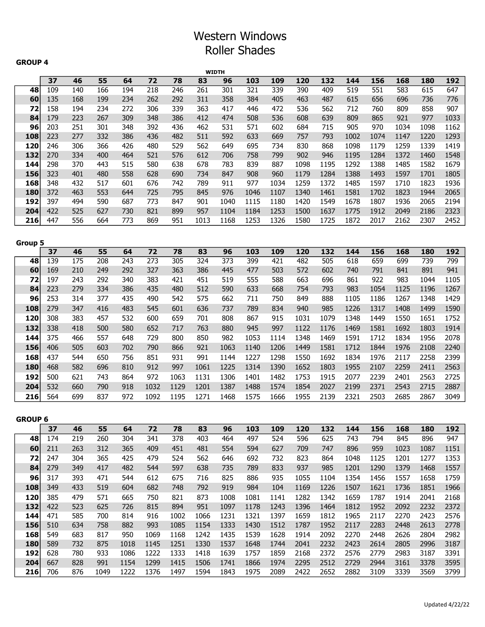# Western Windows Roller Shades

#### GROUP 4

|                |            |            |            |            |            |            |            | <b>WIDTH</b> |            |            |              |              |              |              |              |              |              |
|----------------|------------|------------|------------|------------|------------|------------|------------|--------------|------------|------------|--------------|--------------|--------------|--------------|--------------|--------------|--------------|
|                | 37         | 46         | 55         | 64         | 72         | 78         | 83         | 96           | 103        | 109        | 120          | 132          | 144          | 156          | 168          | 180          | 192          |
| 48             | 109        | 140        | 166        | 194        | 218        | 246        | 261        | 301          | 321        | 339        | 390          | 409          | 519          | 551          | 583          | 615          | 647          |
| 60             | 135        | 168        | 199        | 234        | 262        | 292        | 311        | 358          | 384        | 405        | 463          | 487          | 615          | 656          | 696          | 736          | 776          |
| 72             | 158        | 194        | 234        | 272        | 306        | 339        | 363        | 417          | 446        | 472        | 536          | 562          | 712          | 760          | 809          | 858          | 907          |
| 84             | 179        | 223        | 267        | 309        | 348        | 386        | 412        | 474          | 508        | 536        | 608          | 639          | 809          | 865          | 921          | 977          | 1033         |
| 96             | 203        | 251        | 301        | 348        | 392        | 436        | 462        | 531          | 571        | 602        | 684          | 715          | 905          | 970          | 1034         | 1098         | 1162         |
| 108            | 223        | 277        | 332        | 386        | 436        | 482        | 511        | 592          | 633        | 669        | 757          | 793          | 1002         | 1074         | 1147         | 1220         | 1293         |
| 120            | 246        | 306        | 366        | 426        | 480        | 529        | 562        | 649          | 695        | 734        | 830          | 868          | 1098         | 1179         | 1259         | 1339         | 1419         |
| 132            | 270        | 334        | 400        | 464        | 521        | 576        | 612        | 706          | 758        | 799        | 902          | 946          | 1195         | 1284         | 1372         | 1460         | 1548         |
| 144<br>156     | 298<br>323 | 370<br>401 | 443<br>480 | 515<br>558 | 580<br>628 | 638<br>690 | 678<br>734 | 783<br>847   | 839<br>908 | 887<br>960 | 1098<br>1179 | 1195<br>1284 | 1292<br>1388 | 1388<br>1493 | 1485<br>1597 | 1582<br>1701 | 1679<br>1805 |
| 168            | 348        | 432        | 517        | 601        | 676        | 742        | 789        | 911          | 977        | 1034       | 1259         | 1372         | 1485         | 1597         | 1710         | 1823         | 1936         |
| 180            | 372        | 463        | 553        | 644        | 725        | 795        | 845        | 976          | 1046       | 1107       | 1340         | 1461         | 1581         | 1702         | 1823         | 1944         | 2065         |
| 192            | 397        | 494        | 590        | 687        | 773        | 847        | 901        | 1040         | 1115       | 1180       | 1420         | 1549         | 1678         | 1807         | 1936         | 2065         | 2194         |
| 204            | 422        | 525        | 627        | 730        | 821        | 899        | 957        | 1104         | 1184       | 1253       | 1500         | 1637         | 1775         | 1912         | 2049         | 2186         | 2323         |
| 216            | 447        | 556        | 664        | 773        | 869        | 951        | 1013       | 1168         | 1253       | 1326       | 1580         | 1725         | 1872         | 2017         | 2162         | 2307         | 2452         |
|                |            |            |            |            |            |            |            |              |            |            |              |              |              |              |              |              |              |
|                |            |            |            |            |            |            |            |              |            |            |              |              |              |              |              |              |              |
| <b>Group 5</b> |            |            |            |            |            |            |            |              |            |            |              |              |              |              |              |              |              |
|                | 37         | 46         | 55         | 64         | 72         | 78         | 83         | 96           | 103        | 109        | 120          | 132          | 144          | 156          | 168          | 180          | 192          |
| 48             | 139<br>169 | 175        | 208        | 243<br>292 | 273<br>327 | 305<br>363 | 324<br>386 | 373          | 399        | 421        | 482          | 505          | 618          | 659          | 699          | 739          | 799<br>941   |
| 60             |            | 210        | 249        |            | 383        | 421        |            | 445          | 477<br>555 | 503        | 572          | 602          | 740          | 791<br>922   | 841          | 891          |              |
| 72<br>84       | 197<br>223 | 243<br>279 | 292<br>334 | 340<br>386 | 435        | 480        | 451<br>512 | 519<br>590   | 633        | 588<br>668 | 663<br>754   | 696<br>793   | 861<br>983   | 1054         | 983<br>1125  | 1044<br>1196 | 1105<br>1267 |
|                | 253        |            |            |            |            | 542        | 575        |              |            |            |              | 888          |              |              |              |              | 1429         |
| 96             |            | 314        | 377        | 435        | 490        |            |            | 662          | 711        | 750        | 849          |              | 1105         | 1186         | 1267         | 1348         |              |
| 108            | 279        | 347        | 416        | 483        | 545        | 601        | 636        | 737          | 789        | 834        | 940          | 985          | 1226         | 1317         | 1408         | 1499         | 1590         |
| 120            | 308        | 383        | 457        | 532        | 600        | 659        | 701        | 808          | 867        | 915        | 1031         | 1079         | 1348         | 1449         | 1550         | 1651         | 1752         |
| 132            | 338        | 418        | 500        | 580        | 652        | 717        | 763        | 880          | 945        | 997        | 1122         | 1176         | 1469         | 1581         | 1692         | 1803         | 1914         |
| 144            | 375        | 466        | 557        | 648        | 729        | 800        | 850        | 982          | 1053       | 1114       | 1348         | 1469         | 1591         | 1712         | 1834         | 1956         | 2078         |
| 156            | 406        | 505        | 603        | 702        | 790        | 866        | 921        | 1063         | 1140       | 1206       | 1449         | 1581         | 1712         | 1844         | 1976         | 2108         | 2240         |
| 168            | 437        | 544        | 650        | 756        | 851        | 931        | 991        | 1144         | 1227       | 1298       | 1550         | 1692         | 1834         | 1976         | 2117         | 2258         | 2399         |
| 180            | 468        | 582        | 696        | 810        | 912        | 997        | 1061       | 1225         | 1314       | 1390       | 1652         | 1803         | 1955         | 2107         | 2259         | 2411         | 2563         |
| 192            | 500        | 621        | 743        | 864        | 972        | 1063       | 1131       | 1306         | 1401       | 1482       | 1753         | 1915         | 2077         | 2239         | 2401         | 2563         | 2725         |
| 204            | 532        | 660        | 790        | 918        | 1032       | 1129       | 1201       | 1387         | 1488       | 1574       | 1854         | 2027         | 2199         | 2371         | 2543         | 2715         | 2887         |
| 216            | 564        | 699        | 837        | 972        | 1092       | 1195       | 1271       | 1468         | 1575       | 1666       | 1955         | 2139         | 2321         | 2503         | 2685         | 2867         | 3049         |
|                |            |            |            |            |            |            |            |              |            |            |              |              |              |              |              |              |              |
| <b>GROUP 6</b> |            |            |            |            |            |            |            |              |            |            |              |              |              |              |              |              |              |
|                | 37         | 46         | 55         | 64         | 72         | 78         | 83         | 96           | 103        | 109        | 120          | 132          | 144          | 156          | 168          | 180          | 192          |
| 48             | 174        | 219        | 260        | 304        | 341        | 378        | 403        | 464          | 497        | 524        | 596          | 625          | 743          | 794          | 845          | 896          | 947          |
| 60             | 211        | 263        | 312        | 365        | 409        | 451        | 481        | 554          | 594        | 627        | 709          | 747          | 896          | 959          | 1023         | 1087         | 1151         |
| 72             | 247        | 304        | 365        | 425        | 479        | 524        | 562        | 646          | 692        | 732        | 823          | 864          | 1048         | 1125         | 1201         | 1277         | 1353         |
| 84             | 279        | 349        | 417        | 482        | 544        | 597        | 638        | 735          | 789        | 833        | 937          | 985          | 1201         | 1290         | 1379         | 1468         | 1557         |
| 96             | 317        | 393        | 471        | 544        | 612        | 675        | 716        | 825          | 886        | 935        | 1055         | 1104         | 1354         | 1456         | 1557         | 1658         | 1759         |
| 108            | 349        | 433        | 519        | 604        | 682        | 748        | 792        | 919          | 984        | 104        | 1169         | 1226         | 1507         | 1621         | 1736         | 1851         | 1966         |
| 120            | 385        | 479        | 571        | 665        | 750        | 821        | 873        | 1008         | 1081       | 1141       | 1282         | 1342         | 1659         | 1787         | 1914         | 2041         | 2168         |
| 132            | 422        | 523        | 625        | 726        | 815        | 894        | 951        | 1097         | 1178       | 1243       | 1396         | 1464         | 1812         | 1952         | 2092         | 2232         | 2372         |
| 144            | 471        | 585        | 700        | 814        | 916        | 1002       | 1066       | 1231         | 1321       | 1397       | 1659         | 1812         | 1965         | 2117         | 2270         | 2423         | 2576         |
| 156            | 510        | 634        | 758        | 882        | 993        | 1085       | 1154       | 1333         | 1430       | 1512       | 1787         | 1952         | 2117         | 2283         | 2448         | 2613         | 2778         |
| 168            | 549        | 683        | 817        | 950        | 1069       | 1168       | 1242       | 1435         | 1539       | 1628       | 1914         | 2092         | 2270         | 2448         | 2626         | 2804         | 2982         |
| 180            | 589        | 732        | 875        | 1018       | 1145       | 1251       | 1330       | 1537         | 1648       | 1744       | 2041         | 2232         | 2423         | 2614         | 2805         | 2996         | 3187         |
| 192            | 628        | 780        | 933        | 1086       | 1222       | 1333       | 1418       | 1639         | 1757       | 1859       | 2168         | 2372         | 2576         | 2779         | 2983         | 3187         | 3391         |
| 204            | 667        | 828        | 991        | 1154       | 1299       | 1415       | 1506       | 1741         | 1866       | 1974       | 2295         | 2512         | 2729         | 2944         | 3161         | 3378         | 3595         |
| 216            | 706        | 876        | 1049       | 1222       | 1376       | 1497       | 1594       | 1843         | 1975       | 2089       | 2422         | 2652         | 2882         | 3109         | 3339         | 3569         | 3799         |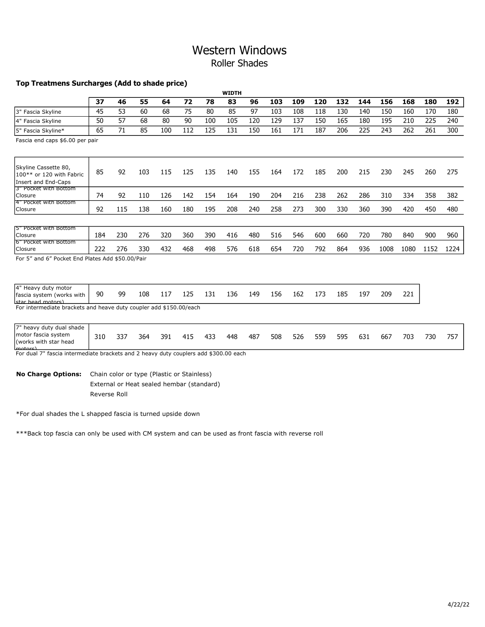### Western Windows Roller Shades

#### Top Treatmens Surcharges (Add to shade price)

|                                                                                       |     |     |     |     |                                                                                         |     | <b>WIDTH</b> |     |     |     |     |     |     |      |      |      |      |
|---------------------------------------------------------------------------------------|-----|-----|-----|-----|-----------------------------------------------------------------------------------------|-----|--------------|-----|-----|-----|-----|-----|-----|------|------|------|------|
|                                                                                       | 37  | 46  | 55  | 64  | 72                                                                                      | 78  | 83           | 96  | 103 | 109 | 120 | 132 | 144 | 156  | 168  | 180  | 192  |
| 3" Fascia Skyline                                                                     | 45  | 53  | 60  | 68  | 75                                                                                      | 80  | 85           | 97  | 103 | 108 | 118 | 130 | 140 | 150  | 160  | 170  | 180  |
| 4" Fascia Skyline                                                                     | 50  | 57  | 68  | 80  | 90                                                                                      | 100 | 105          | 120 | 129 | 137 | 150 | 165 | 180 | 195  | 210  | 225  | 240  |
| 5" Fascia Skyline*                                                                    | 65  | 71  | 85  | 100 | 112                                                                                     | 125 | 131          | 150 | 161 | 171 | 187 | 206 | 225 | 243  | 262  | 261  | 300  |
| Fascia end caps \$6.00 per pair                                                       |     |     |     |     |                                                                                         |     |              |     |     |     |     |     |     |      |      |      |      |
| Skyline Cassette 80,<br>100** or 120 with Fabric<br>Insert and End-Caps               | 85  | 92  | 103 | 115 | 125                                                                                     | 135 | 140          | 155 | 164 | 172 | 185 | 200 | 215 | 230  | 245  | 260  | 275  |
| 3" Pocket with Bottom<br>lClosure                                                     | 74  | 92  | 110 | 126 | 142                                                                                     | 154 | 164          | 190 | 204 | 216 | 238 | 262 | 286 | 310  | 334  | 358  | 382  |
| 4" Pocket with Bottom<br>Closure                                                      | 92  | 115 | 138 | 160 | 180                                                                                     | 195 | 208          | 240 | 258 | 273 | 300 | 330 | 360 | 390  | 420  | 450  | 480  |
|                                                                                       |     |     |     |     |                                                                                         |     |              |     |     |     |     |     |     |      |      |      |      |
| <b>15" Pocket with Bottom</b><br>Closure                                              | 184 | 230 | 276 | 320 | 360                                                                                     | 390 | 416          | 480 | 516 | 546 | 600 | 660 | 720 | 780  | 840  | 900  | 960  |
| 6" Pocket with Bottom<br>Closure                                                      | 222 | 276 | 330 | 432 | 468                                                                                     | 498 | 576          | 618 | 654 | 720 | 792 | 864 | 936 | 1008 | 1080 | 1152 | 1224 |
| For 5" and 6" Pocket End Plates Add \$50.00/Pair                                      |     |     |     |     |                                                                                         |     |              |     |     |     |     |     |     |      |      |      |      |
| 4" Heavy duty motor<br>fascia system (works with<br>star head motors)                 | 90  | 99  | 108 | 117 | 125                                                                                     | 131 | 136          | 149 | 156 | 162 | 173 | 185 | 197 | 209  | 221  |      |      |
| For intermediate brackets and heave duty coupler add \$150.00/each                    |     |     |     |     |                                                                                         |     |              |     |     |     |     |     |     |      |      |      |      |
| 7" heavy duty dual shade<br>motor fascia system<br>l (works with star head<br>motorel | 310 | 337 | 364 | 391 | 415                                                                                     | 433 | 448          | 487 | 508 | 526 | 559 | 595 | 631 | 667  | 703  | 730  | 757  |
| For dual 7" fascia intermediate brackets and 2 heavy duty couplers add \$300.00 each  |     |     |     |     |                                                                                         |     |              |     |     |     |     |     |     |      |      |      |      |
| <b>No Charge Options:</b>                                                             |     |     |     |     | Chain color or type (Plastic or Stainless)<br>External or Heat sealed hembar (standard) |     |              |     |     |     |     |     |     |      |      |      |      |

Reverse Roll

\*For dual shades the L shapped fascia is turned upside down

\*\*\*Back top fascia can only be used with CM system and can be used as front fascia with reverse roll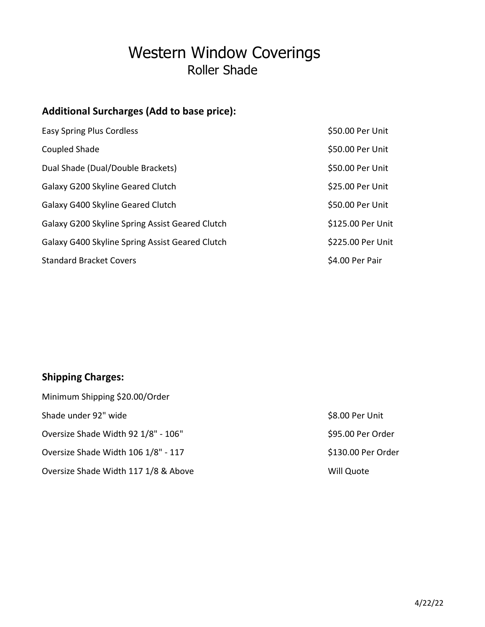# Western Window Coverings Roller Shade

## Additional Surcharges (Add to base price):

| <b>Easy Spring Plus Cordless</b>                | \$50.00 Per Unit  |
|-------------------------------------------------|-------------------|
| Coupled Shade                                   | \$50.00 Per Unit  |
| Dual Shade (Dual/Double Brackets)               | \$50.00 Per Unit  |
| Galaxy G200 Skyline Geared Clutch               | \$25.00 Per Unit  |
| Galaxy G400 Skyline Geared Clutch               | \$50.00 Per Unit  |
| Galaxy G200 Skyline Spring Assist Geared Clutch | \$125.00 Per Unit |
| Galaxy G400 Skyline Spring Assist Geared Clutch | \$225.00 Per Unit |
| <b>Standard Bracket Covers</b>                  | \$4.00 Per Pair   |

## Shipping Charges:

| Minimum Shipping \$20.00/Order       |                    |
|--------------------------------------|--------------------|
| Shade under 92" wide                 | \$8.00 Per Unit    |
| Oversize Shade Width 92 1/8" - 106"  | \$95.00 Per Order  |
| Oversize Shade Width 106 1/8" - 117  | \$130.00 Per Order |
| Oversize Shade Width 117 1/8 & Above | Will Quote         |

| \$8.00 Per Unit    |
|--------------------|
| \$95.00 Per Order  |
| \$130.00 Per Order |
| Mill Ounte         |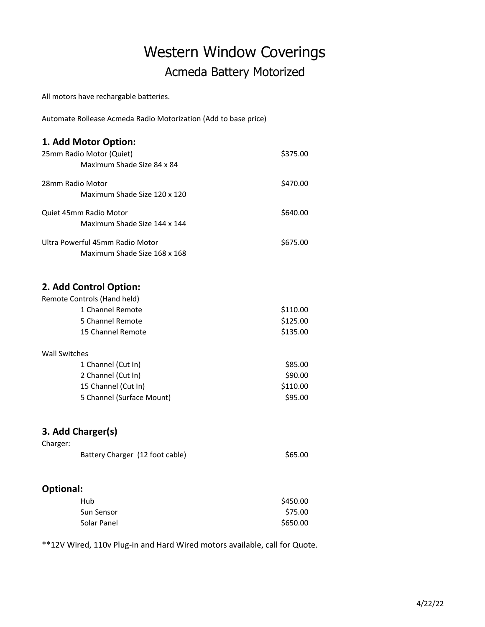# Western Window Coverings Acmeda Battery Motorized

All motors have rechargable batteries.

Automate Rollease Acmeda Radio Motorization (Add to base price)

### 1. Add Motor Option: 25mm Radio Motor (Quiet) **\$375.00** Maximum Shade Size 84 x 84

| 28mm Radio Motor                                                | \$470.00 |
|-----------------------------------------------------------------|----------|
| Maximum Shade Size 120 x 120                                    |          |
| Quiet 45mm Radio Motor<br>Maximum Shade Size 144 x 144          | \$640.00 |
| Ultra Powerful 45mm Radio Motor<br>Maximum Shade Size 168 x 168 | \$675.00 |

#### 2. Add Control Option:

| Remote Controls (Hand held) |          |
|-----------------------------|----------|
| 1 Channel Remote            | \$110.00 |
| 5 Channel Remote            | \$125.00 |
| 15 Channel Remote           | \$135.00 |
| Wall Switches               |          |
| 1 Channel (Cut In)          | \$85.00  |
|                             |          |

| 2 Channel (Cut In)        | \$90.00  |
|---------------------------|----------|
| 15 Channel (Cut In)       | \$110.00 |
| 5 Channel (Surface Mount) | \$95.00  |

#### 3. Add Charger(s)

| Charger: |                                 |         |
|----------|---------------------------------|---------|
|          | Battery Charger (12 foot cable) | \$65.00 |

#### Optional:

| Hub         | \$450.00 |
|-------------|----------|
| Sun Sensor  | \$75.00  |
| Solar Panel | \$650.00 |

\*\*12V Wired, 110v Plug-in and Hard Wired motors available, call for Quote.